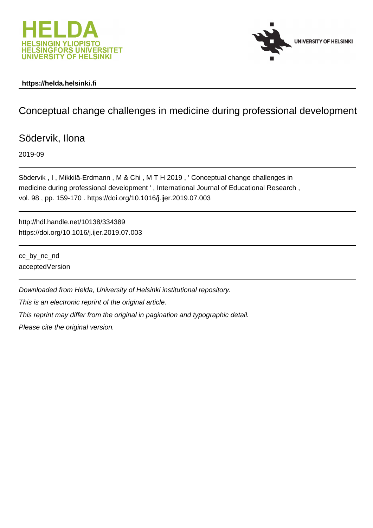



## **https://helda.helsinki.fi**

# Conceptual change challenges in medicine during professional development

Södervik, Ilona

2019-09

Södervik , I , Mikkilä-Erdmann , M & Chi , M T H 2019 , ' Conceptual change challenges in medicine during professional development ' , International Journal of Educational Research , vol. 98 , pp. 159-170 . https://doi.org/10.1016/j.ijer.2019.07.003

http://hdl.handle.net/10138/334389 https://doi.org/10.1016/j.ijer.2019.07.003

cc\_by\_nc\_nd acceptedVersion

Downloaded from Helda, University of Helsinki institutional repository.

This is an electronic reprint of the original article.

This reprint may differ from the original in pagination and typographic detail.

Please cite the original version.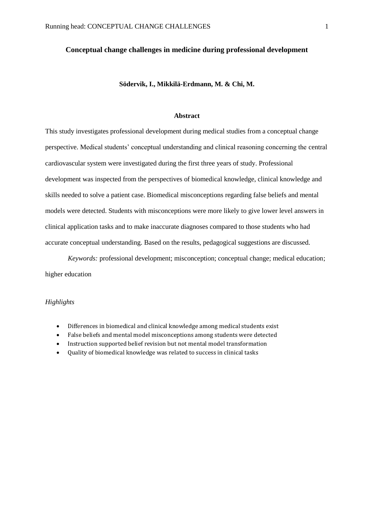## **Conceptual change challenges in medicine during professional development**

**Södervik, I., Mikkilä-Erdmann, M. & Chi, M.**

#### **Abstract**

This study investigates professional development during medical studies from a conceptual change perspective. Medical students' conceptual understanding and clinical reasoning concerning the central cardiovascular system were investigated during the first three years of study. Professional development was inspected from the perspectives of biomedical knowledge, clinical knowledge and skills needed to solve a patient case. Biomedical misconceptions regarding false beliefs and mental models were detected. Students with misconceptions were more likely to give lower level answers in clinical application tasks and to make inaccurate diagnoses compared to those students who had accurate conceptual understanding. Based on the results, pedagogical suggestions are discussed.

*Keywords:* professional development; misconception; conceptual change; medical education; higher education

## *Highlights*

- Differences in biomedical and clinical knowledge among medical students exist
- False beliefs and mental model misconceptions among students were detected
- Instruction supported belief revision but not mental model transformation
- Quality of biomedical knowledge was related to success in clinical tasks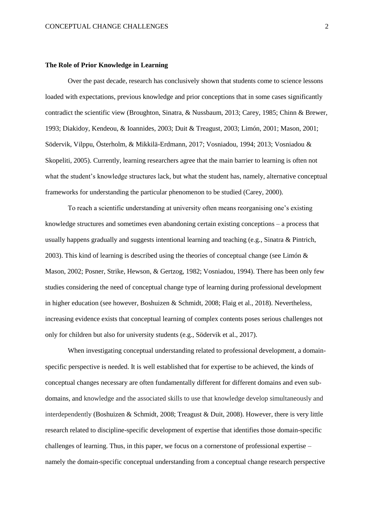### **The Role of Prior Knowledge in Learning**

Over the past decade, research has conclusively shown that students come to science lessons loaded with expectations, previous knowledge and prior conceptions that in some cases significantly contradict the scientific view (Broughton, Sinatra, & Nussbaum, 2013; Carey, 1985; Chinn & Brewer, 1993; Diakidoy, Kendeou, & Ioannides, 2003; Duit & Treagust, 2003; Limón, 2001; Mason, 2001; Södervik, Vilppu, Österholm, & Mikkilä-Erdmann, 2017; Vosniadou, 1994; 2013; Vosniadou & Skopeliti, 2005). Currently, learning researchers agree that the main barrier to learning is often not what the student's knowledge structures lack, but what the student has, namely, alternative conceptual frameworks for understanding the particular phenomenon to be studied (Carey, 2000).

To reach a scientific understanding at university often means reorganising one's existing knowledge structures and sometimes even abandoning certain existing conceptions – a process that usually happens gradually and suggests intentional learning and teaching (e.g., Sinatra & Pintrich, 2003). This kind of learning is described using the theories of conceptual change (see Limón  $\&$ Mason, 2002; Posner, Strike, Hewson, & Gertzog, 1982; Vosniadou, 1994). There has been only few studies considering the need of conceptual change type of learning during professional development in higher education (see however, Boshuizen & Schmidt, 2008; Flaig et al., 2018). Nevertheless, increasing evidence exists that conceptual learning of complex contents poses serious challenges not only for children but also for university students (e.g., Södervik et al., 2017).

When investigating conceptual understanding related to professional development, a domainspecific perspective is needed. It is well established that for expertise to be achieved, the kinds of conceptual changes necessary are often fundamentally different for different domains and even subdomains, and knowledge and the associated skills to use that knowledge develop simultaneously and interdependently (Boshuizen & Schmidt, 2008; Treagust & Duit, 2008). However, there is very little research related to discipline-specific development of expertise that identifies those domain-specific challenges of learning. Thus, in this paper, we focus on a cornerstone of professional expertise – namely the domain-specific conceptual understanding from a conceptual change research perspective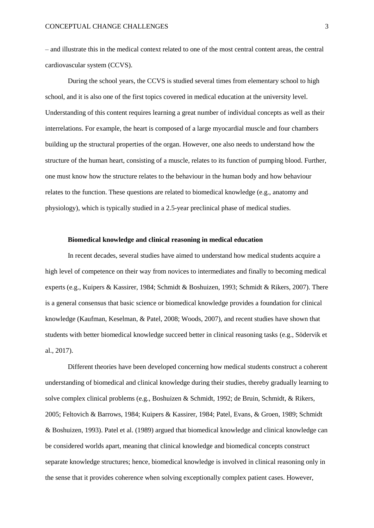– and illustrate this in the medical context related to one of the most central content areas, the central cardiovascular system (CCVS).

During the school years, the CCVS is studied several times from elementary school to high school, and it is also one of the first topics covered in medical education at the university level. Understanding of this content requires learning a great number of individual concepts as well as their interrelations. For example, the heart is composed of a large myocardial muscle and four chambers building up the structural properties of the organ. However, one also needs to understand how the structure of the human heart, consisting of a muscle, relates to its function of pumping blood. Further, one must know how the structure relates to the behaviour in the human body and how behaviour relates to the function. These questions are related to biomedical knowledge (e.g., anatomy and physiology), which is typically studied in a 2.5-year preclinical phase of medical studies.

## **Biomedical knowledge and clinical reasoning in medical education**

In recent decades, several studies have aimed to understand how medical students acquire a high level of competence on their way from novices to intermediates and finally to becoming medical experts (e.g., Kuipers & Kassirer, 1984; Schmidt & Boshuizen, 1993; Schmidt & Rikers, 2007). There is a general consensus that basic science or biomedical knowledge provides a foundation for clinical knowledge (Kaufman, Keselman, & Patel, 2008; Woods, 2007), and recent studies have shown that students with better biomedical knowledge succeed better in clinical reasoning tasks (e.g., Södervik et al., 2017).

Different theories have been developed concerning how medical students construct a coherent understanding of biomedical and clinical knowledge during their studies, thereby gradually learning to solve complex clinical problems (e.g., Boshuizen & Schmidt, 1992; de Bruin, Schmidt, & Rikers, 2005; Feltovich & Barrows, 1984; Kuipers & Kassirer, 1984; Patel, Evans, & Groen, 1989; Schmidt & Boshuizen, 1993). Patel et al. (1989) argued that biomedical knowledge and clinical knowledge can be considered worlds apart, meaning that clinical knowledge and biomedical concepts construct separate knowledge structures; hence, biomedical knowledge is involved in clinical reasoning only in the sense that it provides coherence when solving exceptionally complex patient cases. However,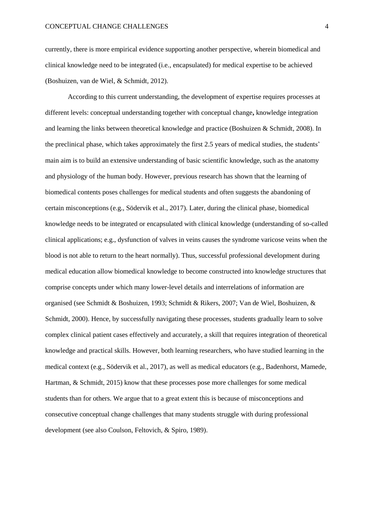currently, there is more empirical evidence supporting another perspective, wherein biomedical and clinical knowledge need to be integrated (i.e., encapsulated) for medical expertise to be achieved (Boshuizen, van de Wiel, & Schmidt, 2012).

According to this current understanding, the development of expertise requires processes at different levels: conceptual understanding together with conceptual change**,** knowledge integration and learning the links between theoretical knowledge and practice (Boshuizen & Schmidt, 2008). In the preclinical phase, which takes approximately the first 2.5 years of medical studies, the students' main aim is to build an extensive understanding of basic scientific knowledge, such as the anatomy and physiology of the human body. However, previous research has shown that the learning of biomedical contents poses challenges for medical students and often suggests the abandoning of certain misconceptions (e.g., Södervik et al., 2017). Later, during the clinical phase, biomedical knowledge needs to be integrated or encapsulated with clinical knowledge (understanding of so-called clinical applications; e.g., dysfunction of valves in veins causes the syndrome varicose veins when the blood is not able to return to the heart normally). Thus, successful professional development during medical education allow biomedical knowledge to become constructed into knowledge structures that comprise concepts under which many lower-level details and interrelations of information are organised (see Schmidt & Boshuizen, 1993; Schmidt & Rikers, 2007; Van de Wiel, Boshuizen, & Schmidt, 2000). Hence, by successfully navigating these processes, students gradually learn to solve complex clinical patient cases effectively and accurately, a skill that requires integration of theoretical knowledge and practical skills. However, both learning researchers, who have studied learning in the medical context (e.g., Södervik et al., 2017), as well as medical educators (e.g., Badenhorst, Mamede, Hartman, & Schmidt, 2015) know that these processes pose more challenges for some medical students than for others. We argue that to a great extent this is because of misconceptions and consecutive conceptual change challenges that many students struggle with during professional development (see also Coulson, Feltovich, & Spiro, 1989).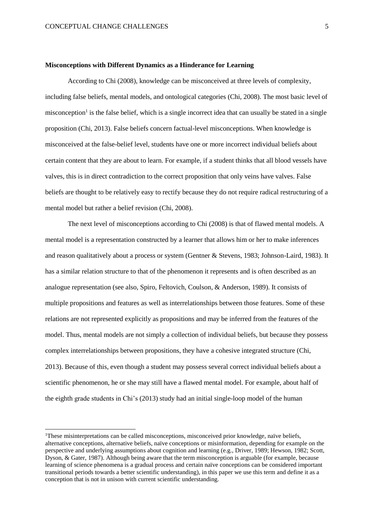-

### **Misconceptions with Different Dynamics as a Hinderance for Learning**

According to Chi (2008), knowledge can be misconceived at three levels of complexity, including false beliefs, mental models, and ontological categories (Chi, 2008). The most basic level of misconception<sup>1</sup> is the false belief, which is a single incorrect idea that can usually be stated in a single proposition (Chi, 2013). False beliefs concern factual-level misconceptions. When knowledge is misconceived at the false-belief level, students have one or more incorrect individual beliefs about certain content that they are about to learn. For example, if a student thinks that all blood vessels have valves, this is in direct contradiction to the correct proposition that only veins have valves. False beliefs are thought to be relatively easy to rectify because they do not require radical restructuring of a mental model but rather a belief revision (Chi, 2008).

The next level of misconceptions according to Chi (2008) is that of flawed mental models. A mental model is a representation constructed by a learner that allows him or her to make inferences and reason qualitatively about a process or system (Gentner & Stevens, 1983; Johnson-Laird, 1983). It has a similar relation structure to that of the phenomenon it represents and is often described as an analogue representation (see also, Spiro, Feltovich, Coulson, & Anderson, 1989). It consists of multiple propositions and features as well as interrelationships between those features. Some of these relations are not represented explicitly as propositions and may be inferred from the features of the model. Thus, mental models are not simply a collection of individual beliefs, but because they possess complex interrelationships between propositions, they have a cohesive integrated structure (Chi, 2013). Because of this, even though a student may possess several correct individual beliefs about a scientific phenomenon, he or she may still have a flawed mental model. For example, about half of the eighth grade students in Chi's (2013) study had an initial single-loop model of the human

<sup>&</sup>lt;sup>1</sup>These misinterpretations can be called misconceptions, misconceived prior knowledge, naïve beliefs, alternative conceptions, alternative beliefs, naïve conceptions or misinformation, depending for example on the perspective and underlying assumptions about cognition and learning (e.g., Driver, 1989; Hewson, 1982; Scott, Dyson, & Gater, 1987). Although being aware that the term misconception is arguable (for example, because learning of science phenomena is a gradual process and certain naïve conceptions can be considered important transitional periods towards a better scientific understanding), in this paper we use this term and define it as a conception that is not in unison with current scientific understanding.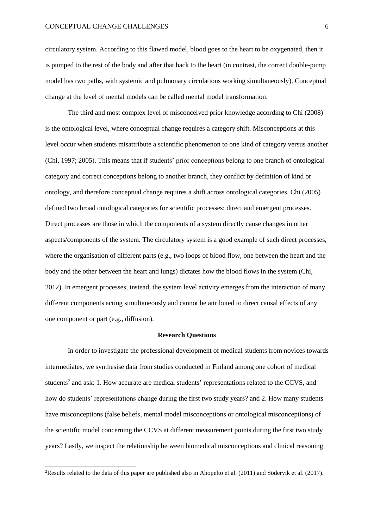## CONCEPTUAL CHANGE CHALLENGES 6

circulatory system. According to this flawed model, blood goes to the heart to be oxygenated, then it is pumped to the rest of the body and after that back to the heart (in contrast, the correct double-pump model has two paths, with systemic and pulmonary circulations working simultaneously). Conceptual change at the level of mental models can be called mental model transformation.

The third and most complex level of misconceived prior knowledge according to Chi (2008) is the ontological level, where conceptual change requires a category shift. Misconceptions at this level occur when students misattribute a scientific phenomenon to one kind of category versus another (Chi, 1997; 2005). This means that if students' prior conceptions belong to one branch of ontological category and correct conceptions belong to another branch, they conflict by definition of kind or ontology, and therefore conceptual change requires a shift across ontological categories. Chi (2005) defined two broad ontological categories for scientific processes: direct and emergent processes. Direct processes are those in which the components of a system directly cause changes in other aspects/components of the system. The circulatory system is a good example of such direct processes, where the organisation of different parts (e.g., two loops of blood flow, one between the heart and the body and the other between the heart and lungs) dictates how the blood flows in the system (Chi, 2012). In emergent processes, instead, the system level activity emerges from the interaction of many different components acting simultaneously and cannot be attributed to direct causal effects of any one component or part (e.g., diffusion).

#### **Research Questions**

In order to investigate the professional development of medical students from novices towards intermediates, we synthesise data from studies conducted in Finland among one cohort of medical students<sup>2</sup> and ask: 1. How accurate are medical students' representations related to the CCVS, and how do students' representations change during the first two study years? and 2. How many students have misconceptions (false beliefs, mental model misconceptions or ontological misconceptions) of the scientific model concerning the CCVS at different measurement points during the first two study years? Lastly, we inspect the relationship between biomedical misconceptions and clinical reasoning

-

<sup>2</sup>Results related to the data of this paper are published also in Ahopelto et al. (2011) and Södervik et al. (2017).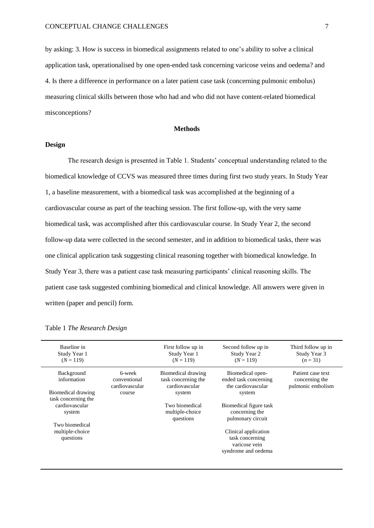by asking: 3. How is success in biomedical assignments related to one's ability to solve a clinical application task, operationalised by one open-ended task concerning varicose veins and oedema? and 4. Is there a difference in performance on a later patient case task (concerning pulmonic embolus) measuring clinical skills between those who had and who did not have content-related biomedical misconceptions?

## **Methods**

## **Design**

The research design is presented in Table 1. Students' conceptual understanding related to the biomedical knowledge of CCVS was measured three times during first two study years. In Study Year 1, a baseline measurement, with a biomedical task was accomplished at the beginning of a cardiovascular course as part of the teaching session. The first follow-up, with the very same biomedical task, was accomplished after this cardiovascular course. In Study Year 2, the second follow-up data were collected in the second semester, and in addition to biomedical tasks, there was one clinical application task suggesting clinical reasoning together with biomedical knowledge. In Study Year 3, there was a patient case task measuring participants' clinical reasoning skills. The patient case task suggested combining biomedical and clinical knowledge. All answers were given in written (paper and pencil) form.

| Baseline in<br>Study Year 1<br>$(N = 119)$     |                                          | First follow up in<br>Study Year 1<br>$(N = 119)$           | Second follow up in<br>Study Year 2<br>$(N = 119)$                              | Third follow up in<br>Study Year 3<br>$(n=31)$           |
|------------------------------------------------|------------------------------------------|-------------------------------------------------------------|---------------------------------------------------------------------------------|----------------------------------------------------------|
| Background<br>information                      | 6-week<br>conventional<br>cardiovascular | Biomedical drawing<br>task concerning the<br>cardiovascular | Biomedical open-<br>ended task concerning<br>the cardiovascular                 | Patient case text<br>concerning the<br>pulmonic embolism |
| Biomedical drawing<br>task concerning the      | course                                   | system                                                      | system                                                                          |                                                          |
| cardiovascular<br>system                       |                                          | Two biomedical<br>multiple-choice<br>questions              | Biomedical figure task<br>concerning the<br>pulmonary circuit                   |                                                          |
| Two biomedical<br>multiple-choice<br>questions |                                          |                                                             | Clinical application<br>task concerning<br>varicose vein<br>syndrome and oedema |                                                          |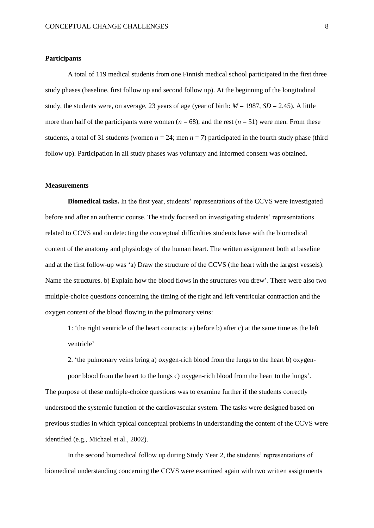## **Participants**

A total of 119 medical students from one Finnish medical school participated in the first three study phases (baseline, first follow up and second follow up). At the beginning of the longitudinal study, the students were, on average, 23 years of age (year of birth:  $M = 1987$ ,  $SD = 2.45$ ). A little more than half of the participants were women ( $n = 68$ ), and the rest ( $n = 51$ ) were men. From these students, a total of 31 students (women  $n = 24$ ; men  $n = 7$ ) participated in the fourth study phase (third follow up). Participation in all study phases was voluntary and informed consent was obtained.

## **Measurements**

**Biomedical tasks.** In the first year, students' representations of the CCVS were investigated before and after an authentic course. The study focused on investigating students' representations related to CCVS and on detecting the conceptual difficulties students have with the biomedical content of the anatomy and physiology of the human heart. The written assignment both at baseline and at the first follow-up was 'a) Draw the structure of the CCVS (the heart with the largest vessels). Name the structures. b) Explain how the blood flows in the structures you drew'. There were also two multiple-choice questions concerning the timing of the right and left ventricular contraction and the oxygen content of the blood flowing in the pulmonary veins:

1: 'the right ventricle of the heart contracts: a) before b) after c) at the same time as the left ventricle'

2. 'the pulmonary veins bring a) oxygen-rich blood from the lungs to the heart b) oxygen-

poor blood from the heart to the lungs c) oxygen-rich blood from the heart to the lungs'. The purpose of these multiple-choice questions was to examine further if the students correctly understood the systemic function of the cardiovascular system. The tasks were designed based on previous studies in which typical conceptual problems in understanding the content of the CCVS were identified (e.g., Michael et al., 2002).

In the second biomedical follow up during Study Year 2, the students' representations of biomedical understanding concerning the CCVS were examined again with two written assignments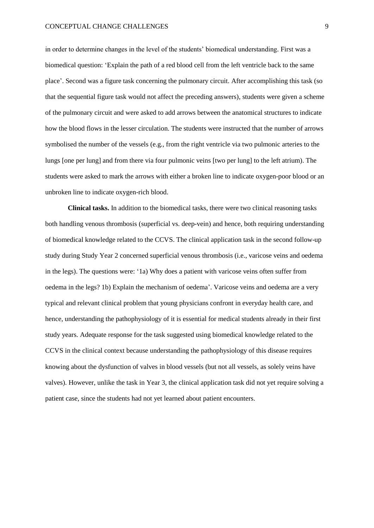## CONCEPTUAL CHANGE CHALLENGES 9

in order to determine changes in the level of the students' biomedical understanding. First was a biomedical question: 'Explain the path of a red blood cell from the left ventricle back to the same place'. Second was a figure task concerning the pulmonary circuit. After accomplishing this task (so that the sequential figure task would not affect the preceding answers), students were given a scheme of the pulmonary circuit and were asked to add arrows between the anatomical structures to indicate how the blood flows in the lesser circulation. The students were instructed that the number of arrows symbolised the number of the vessels (e.g., from the right ventricle via two pulmonic arteries to the lungs [one per lung] and from there via four pulmonic veins [two per lung] to the left atrium). The students were asked to mark the arrows with either a broken line to indicate oxygen-poor blood or an unbroken line to indicate oxygen-rich blood.

**Clinical tasks.** In addition to the biomedical tasks, there were two clinical reasoning tasks both handling venous thrombosis (superficial vs. deep-vein) and hence, both requiring understanding of biomedical knowledge related to the CCVS. The clinical application task in the second follow-up study during Study Year 2 concerned superficial venous thrombosis (i.e., varicose veins and oedema in the legs). The questions were: '1a) Why does a patient with varicose veins often suffer from oedema in the legs? 1b) Explain the mechanism of oedema'. Varicose veins and oedema are a very typical and relevant clinical problem that young physicians confront in everyday health care, and hence, understanding the pathophysiology of it is essential for medical students already in their first study years. Adequate response for the task suggested using biomedical knowledge related to the CCVS in the clinical context because understanding the pathophysiology of this disease requires knowing about the dysfunction of valves in blood vessels (but not all vessels, as solely veins have valves). However, unlike the task in Year 3, the clinical application task did not yet require solving a patient case, since the students had not yet learned about patient encounters.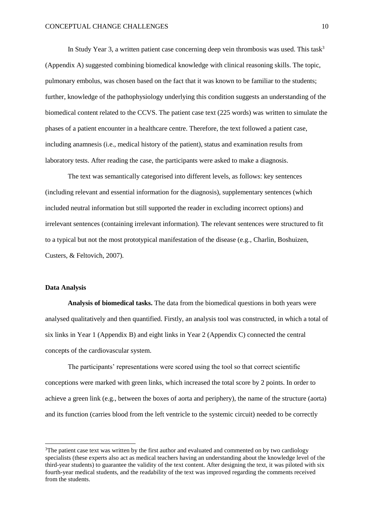In Study Year 3, a written patient case concerning deep vein thrombosis was used. This task<sup>3</sup> (Appendix A) suggested combining biomedical knowledge with clinical reasoning skills. The topic, pulmonary embolus, was chosen based on the fact that it was known to be familiar to the students; further, knowledge of the pathophysiology underlying this condition suggests an understanding of the biomedical content related to the CCVS. The patient case text (225 words) was written to simulate the phases of a patient encounter in a healthcare centre. Therefore, the text followed a patient case, including anamnesis (i.e., medical history of the patient), status and examination results from laboratory tests. After reading the case, the participants were asked to make a diagnosis.

The text was semantically categorised into different levels, as follows: key sentences (including relevant and essential information for the diagnosis), supplementary sentences (which included neutral information but still supported the reader in excluding incorrect options) and irrelevant sentences (containing irrelevant information). The relevant sentences were structured to fit to a typical but not the most prototypical manifestation of the disease (e.g., Charlin, Boshuizen, Custers, & Feltovich, 2007).

## **Data Analysis**

-

**Analysis of biomedical tasks.** The data from the biomedical questions in both years were analysed qualitatively and then quantified. Firstly, an analysis tool was constructed, in which a total of six links in Year 1 (Appendix B) and eight links in Year 2 (Appendix C) connected the central concepts of the cardiovascular system.

The participants' representations were scored using the tool so that correct scientific conceptions were marked with green links, which increased the total score by 2 points. In order to achieve a green link (e.g., between the boxes of aorta and periphery), the name of the structure (aorta) and its function (carries blood from the left ventricle to the systemic circuit) needed to be correctly

<sup>&</sup>lt;sup>3</sup>The patient case text was written by the first author and evaluated and commented on by two cardiology specialists (these experts also act as medical teachers having an understanding about the knowledge level of the third-year students) to guarantee the validity of the text content. After designing the text, it was piloted with six fourth-year medical students, and the readability of the text was improved regarding the comments received from the students.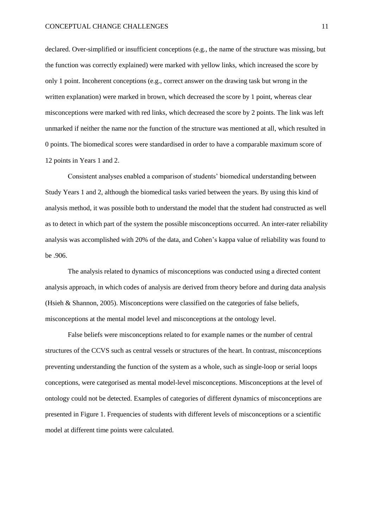#### CONCEPTUAL CHANGE CHALLENGES 11

declared. Over-simplified or insufficient conceptions (e.g., the name of the structure was missing, but the function was correctly explained) were marked with yellow links, which increased the score by only 1 point. Incoherent conceptions (e.g., correct answer on the drawing task but wrong in the written explanation) were marked in brown, which decreased the score by 1 point, whereas clear misconceptions were marked with red links, which decreased the score by 2 points. The link was left unmarked if neither the name nor the function of the structure was mentioned at all, which resulted in 0 points. The biomedical scores were standardised in order to have a comparable maximum score of 12 points in Years 1 and 2.

Consistent analyses enabled a comparison of students' biomedical understanding between Study Years 1 and 2, although the biomedical tasks varied between the years. By using this kind of analysis method, it was possible both to understand the model that the student had constructed as well as to detect in which part of the system the possible misconceptions occurred. An inter-rater reliability analysis was accomplished with 20% of the data, and Cohen's kappa value of reliability was found to be .906.

The analysis related to dynamics of misconceptions was conducted using a directed content analysis approach, in which codes of analysis are derived from theory before and during data analysis (Hsieh & Shannon, 2005). Misconceptions were classified on the categories of false beliefs, misconceptions at the mental model level and misconceptions at the ontology level.

False beliefs were misconceptions related to for example names or the number of central structures of the CCVS such as central vessels or structures of the heart. In contrast, misconceptions preventing understanding the function of the system as a whole, such as single-loop or serial loops conceptions, were categorised as mental model-level misconceptions. Misconceptions at the level of ontology could not be detected. Examples of categories of different dynamics of misconceptions are presented in Figure 1. Frequencies of students with different levels of misconceptions or a scientific model at different time points were calculated.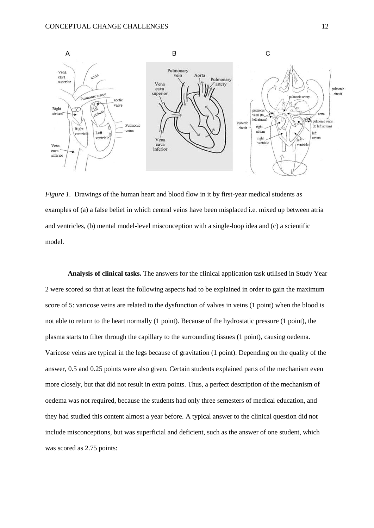

*Figure 1.* Drawings of the human heart and blood flow in it by first-year medical students as examples of (a) a false belief in which central veins have been misplaced i.e. mixed up between atria and ventricles, (b) mental model-level misconception with a single-loop idea and (c) a scientific model.

**Analysis of clinical tasks.** The answers for the clinical application task utilised in Study Year 2 were scored so that at least the following aspects had to be explained in order to gain the maximum score of 5: varicose veins are related to the dysfunction of valves in veins (1 point) when the blood is not able to return to the heart normally (1 point). Because of the hydrostatic pressure (1 point), the plasma starts to filter through the capillary to the surrounding tissues (1 point), causing oedema. Varicose veins are typical in the legs because of gravitation (1 point). Depending on the quality of the answer, 0.5 and 0.25 points were also given. Certain students explained parts of the mechanism even more closely, but that did not result in extra points. Thus, a perfect description of the mechanism of oedema was not required, because the students had only three semesters of medical education, and they had studied this content almost a year before. A typical answer to the clinical question did not include misconceptions, but was superficial and deficient, such as the answer of one student, which was scored as 2.75 points: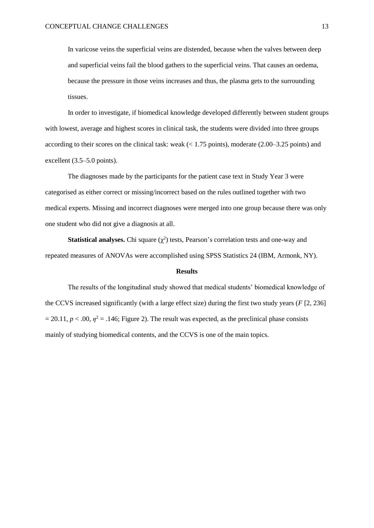In varicose veins the superficial veins are distended, because when the valves between deep and superficial veins fail the blood gathers to the superficial veins. That causes an oedema, because the pressure in those veins increases and thus, the plasma gets to the surrounding tissues.

In order to investigate, if biomedical knowledge developed differently between student groups with lowest, average and highest scores in clinical task, the students were divided into three groups according to their scores on the clinical task: weak  $($  (  $-1.75$  points), moderate  $(2.00-3.25$  points) and excellent (3.5–5.0 points).

The diagnoses made by the participants for the patient case text in Study Year 3 were categorised as either correct or missing/incorrect based on the rules outlined together with two medical experts. Missing and incorrect diagnoses were merged into one group because there was only one student who did not give a diagnosis at all.

**Statistical analyses.** Chi square  $(\chi^2)$  tests, Pearson's correlation tests and one-way and repeated measures of ANOVAs were accomplished using SPSS Statistics 24 (IBM, Armonk, NY).

## **Results**

The results of the longitudinal study showed that medical students' biomedical knowledge of the CCVS increased significantly (with a large effect size) during the first two study years (*F* [2, 236]  $= 20.11, p < .00, \eta^2 = .146$ ; Figure 2). The result was expected, as the preclinical phase consists mainly of studying biomedical contents, and the CCVS is one of the main topics.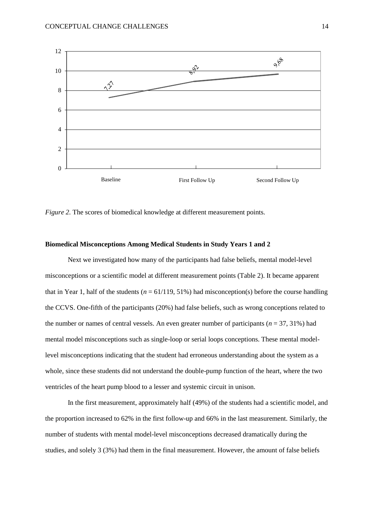

*Figure 2.* The scores of biomedical knowledge at different measurement points.

## **Biomedical Misconceptions Among Medical Students in Study Years 1 and 2**

Next we investigated how many of the participants had false beliefs, mental model-level misconceptions or a scientific model at different measurement points (Table 2). It became apparent that in Year 1, half of the students ( $n = 61/119$ , 51%) had misconception(s) before the course handling the CCVS. One-fifth of the participants (20%) had false beliefs, such as wrong conceptions related to the number or names of central vessels. An even greater number of participants ( $n = 37, 31\%$ ) had mental model misconceptions such as single-loop or serial loops conceptions. These mental modellevel misconceptions indicating that the student had erroneous understanding about the system as a whole, since these students did not understand the double-pump function of the heart, where the two ventricles of the heart pump blood to a lesser and systemic circuit in unison.

In the first measurement, approximately half (49%) of the students had a scientific model, and the proportion increased to 62% in the first follow-up and 66% in the last measurement. Similarly, the number of students with mental model-level misconceptions decreased dramatically during the studies, and solely 3 (3%) had them in the final measurement. However, the amount of false beliefs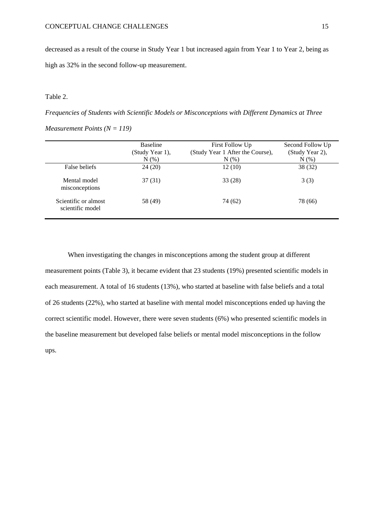decreased as a result of the course in Study Year 1 but increased again from Year 1 to Year 2, being as high as 32% in the second follow-up measurement.

#### Table 2.

*Frequencies of Students with Scientific Models or Misconceptions with Different Dynamics at Three Measurement Points (N = 119)*

|                                          | <b>Baseline</b> | First Follow Up                  | Second Follow Up |  |
|------------------------------------------|-----------------|----------------------------------|------------------|--|
|                                          | (Study Year 1), | (Study Year 1 After the Course), | (Study Year 2),  |  |
|                                          | $N(\%)$         | N(%                              | $N(\%)$          |  |
| False beliefs                            | 24(20)          | 12(10)                           | 38(32)           |  |
| Mental model<br>misconceptions           | 37(31)          | 33(28)                           | 3(3)             |  |
| Scientific or almost<br>scientific model | 58 (49)         | 74 (62)                          | 78 (66)          |  |

When investigating the changes in misconceptions among the student group at different measurement points (Table 3), it became evident that 23 students (19%) presented scientific models in each measurement. A total of 16 students (13%), who started at baseline with false beliefs and a total of 26 students (22%), who started at baseline with mental model misconceptions ended up having the correct scientific model. However, there were seven students (6%) who presented scientific models in the baseline measurement but developed false beliefs or mental model misconceptions in the follow ups.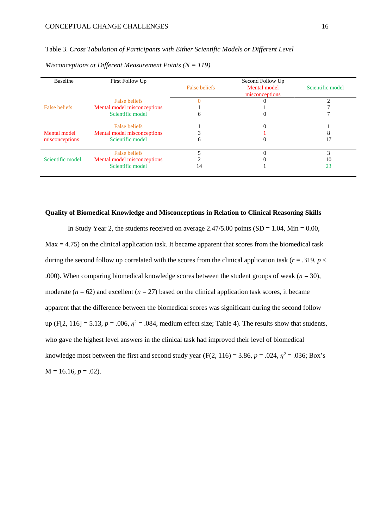| Baseline             | First Follow Up             | Second Follow Up     |                |                  |
|----------------------|-----------------------------|----------------------|----------------|------------------|
|                      |                             | <b>False beliefs</b> | Mental model   | Scientific model |
|                      |                             |                      | misconceptions |                  |
|                      | <b>False beliefs</b>        |                      |                |                  |
| <b>False beliefs</b> | Mental model misconceptions |                      |                |                  |
|                      | Scientific model            | n                    |                |                  |
|                      | <b>False beliefs</b>        |                      |                |                  |
| Mental model         | Mental model misconceptions |                      |                |                  |
| misconceptions       | Scientific model            | h                    |                | 17               |
|                      | <b>False beliefs</b>        |                      |                | 3                |
| Scientific model     | Mental model misconceptions |                      |                | 10               |
|                      | Scientific model            | 14                   |                | 23               |

Table 3. *Cross Tabulation of Participants with Either Scientific Models or Different Level* 

*Misconceptions at Different Measurement Points (N = 119)*

## **Quality of Biomedical Knowledge and Misconceptions in Relation to Clinical Reasoning Skills**

In Study Year 2, the students received on average  $2.47/5.00$  points  $(SD = 1.04$ , Min = 0.00,  $Max = 4.75$ ) on the clinical application task. It became apparent that scores from the biomedical task during the second follow up correlated with the scores from the clinical application task ( $r = .319$ ,  $p <$ .000). When comparing biomedical knowledge scores between the student groups of weak ( $n = 30$ ), moderate  $(n = 62)$  and excellent  $(n = 27)$  based on the clinical application task scores, it became apparent that the difference between the biomedical scores was significant during the second follow up (F[2, 116] = 5.13,  $p = .006$ ,  $\eta^2 = .084$ , medium effect size; Table 4). The results show that students, who gave the highest level answers in the clinical task had improved their level of biomedical knowledge most between the first and second study year  $(F(2, 116) = 3.86, p = .024, \eta^2 = .036; Box's$  $M = 16.16, p = .02$ .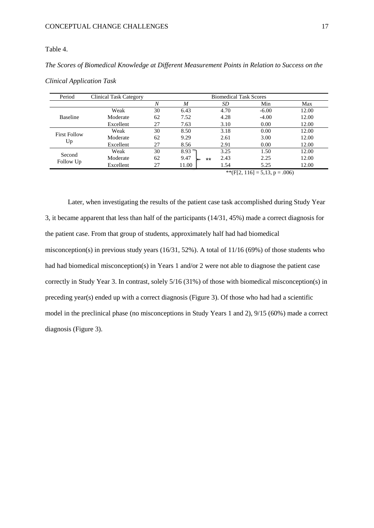## Table 4.

*The Scores of Biomedical Knowledge at Different Measurement Points in Relation to Success on the* 

| Period                    | Clinical Task Category | <b>Biomedical Task Scores</b>      |               |      |         |       |
|---------------------------|------------------------|------------------------------------|---------------|------|---------|-------|
|                           |                        | N                                  | M             | SD   | Min     | Max   |
| <b>Baseline</b>           | Weak                   | 30                                 | 6.43          | 4.70 | $-6.00$ | 12.00 |
|                           | Moderate               | 62                                 | 7.52          | 4.28 | $-4.00$ | 12.00 |
|                           | Excellent              | 27                                 | 7.63          | 3.10 | 0.00    | 12.00 |
| <b>First Follow</b><br>Up | Weak                   | 30                                 | 8.50          | 3.18 | 0.00    | 12.00 |
|                           | Moderate               | 62                                 | 9.29          | 2.61 | 3.00    | 12.00 |
|                           | Excellent              | 27                                 | 8.56          | 2.91 | 0.00    | 12.00 |
| Second<br>Follow Up       | Weak                   | 30                                 | 8.93          | 3.25 | 1.50    | 12.00 |
|                           | Moderate               | 62                                 | 9.47<br>$***$ | 2.43 | 2.25    | 12.00 |
|                           | Excellent              | 27                                 | 11.00         | 1.54 | 5.25    | 12.00 |
|                           |                        | ** $(F[2, 116] = 5, 13, p = .006)$ |               |      |         |       |

## *Clinical Application Task*

Later, when investigating the results of the patient case task accomplished during Study Year 3, it became apparent that less than half of the participants (14/31, 45%) made a correct diagnosis for the patient case. From that group of students, approximately half had had biomedical misconception(s) in previous study years (16/31, 52%). A total of 11/16 (69%) of those students who had had biomedical misconception(s) in Years 1 and/or 2 were not able to diagnose the patient case correctly in Study Year 3. In contrast, solely 5/16 (31%) of those with biomedical misconception(s) in preceding year(s) ended up with a correct diagnosis (Figure 3). Of those who had had a scientific model in the preclinical phase (no misconceptions in Study Years 1 and 2), 9/15 (60%) made a correct diagnosis (Figure 3).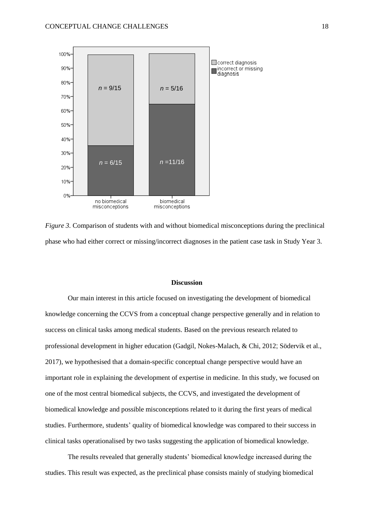

*Figure 3.* Comparison of students with and without biomedical misconceptions during the preclinical phase who had either correct or missing/incorrect diagnoses in the patient case task in Study Year 3.

## **Discussion**

Our main interest in this article focused on investigating the development of biomedical knowledge concerning the CCVS from a conceptual change perspective generally and in relation to success on clinical tasks among medical students. Based on the previous research related to professional development in higher education (Gadgil, Nokes-Malach, & Chi, 2012; Södervik et al., 2017), we hypothesised that a domain-specific conceptual change perspective would have an important role in explaining the development of expertise in medicine. In this study, we focused on one of the most central biomedical subjects, the CCVS, and investigated the development of biomedical knowledge and possible misconceptions related to it during the first years of medical studies. Furthermore, students' quality of biomedical knowledge was compared to their success in clinical tasks operationalised by two tasks suggesting the application of biomedical knowledge.

The results revealed that generally students' biomedical knowledge increased during the studies. This result was expected, as the preclinical phase consists mainly of studying biomedical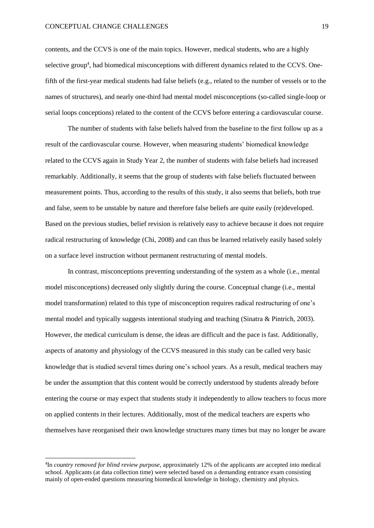#### CONCEPTUAL CHANGE CHALLENGES 19

contents, and the CCVS is one of the main topics. However, medical students, who are a highly selective group<sup>4</sup>, had biomedical misconceptions with different dynamics related to the CCVS. Onefifth of the first-year medical students had false beliefs (e.g., related to the number of vessels or to the names of structures), and nearly one-third had mental model misconceptions (so-called single-loop or serial loops conceptions) related to the content of the CCVS before entering a cardiovascular course.

The number of students with false beliefs halved from the baseline to the first follow up as a result of the cardiovascular course. However, when measuring students' biomedical knowledge related to the CCVS again in Study Year 2, the number of students with false beliefs had increased remarkably. Additionally, it seems that the group of students with false beliefs fluctuated between measurement points. Thus, according to the results of this study, it also seems that beliefs, both true and false, seem to be unstable by nature and therefore false beliefs are quite easily (re)developed. Based on the previous studies, belief revision is relatively easy to achieve because it does not require radical restructuring of knowledge (Chi, 2008) and can thus be learned relatively easily based solely on a surface level instruction without permanent restructuring of mental models.

In contrast, misconceptions preventing understanding of the system as a whole (i.e., mental model misconceptions) decreased only slightly during the course. Conceptual change (i.e., mental model transformation) related to this type of misconception requires radical restructuring of one's mental model and typically suggests intentional studying and teaching (Sinatra & Pintrich, 2003). However, the medical curriculum is dense, the ideas are difficult and the pace is fast. Additionally, aspects of anatomy and physiology of the CCVS measured in this study can be called very basic knowledge that is studied several times during one's school years. As a result, medical teachers may be under the assumption that this content would be correctly understood by students already before entering the course or may expect that students study it independently to allow teachers to focus more on applied contents in their lectures. Additionally, most of the medical teachers are experts who themselves have reorganised their own knowledge structures many times but may no longer be aware

-

<sup>4</sup> In *country removed for blind review purpose*, approximately 12% of the applicants are accepted into medical school. Applicants (at data collection time) were selected based on a demanding entrance exam consisting mainly of open-ended questions measuring biomedical knowledge in biology, chemistry and physics.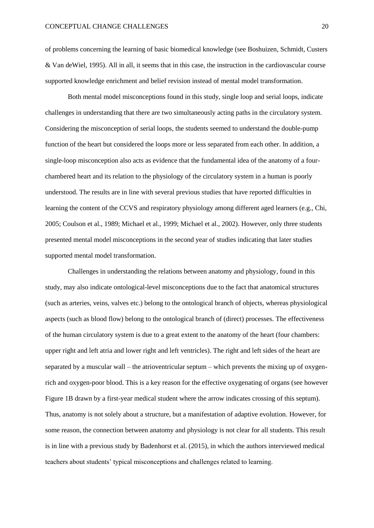of problems concerning the learning of basic biomedical knowledge (see Boshuizen, Schmidt, Custers & Van deWiel, 1995). All in all, it seems that in this case, the instruction in the cardiovascular course supported knowledge enrichment and belief revision instead of mental model transformation.

Both mental model misconceptions found in this study, single loop and serial loops, indicate challenges in understanding that there are two simultaneously acting paths in the circulatory system. Considering the misconception of serial loops, the students seemed to understand the double-pump function of the heart but considered the loops more or less separated from each other. In addition, a single-loop misconception also acts as evidence that the fundamental idea of the anatomy of a fourchambered heart and its relation to the physiology of the circulatory system in a human is poorly understood. The results are in line with several previous studies that have reported difficulties in learning the content of the CCVS and respiratory physiology among different aged learners (e.g., Chi, 2005; Coulson et al., 1989; Michael et al., 1999; Michael et al., 2002). However, only three students presented mental model misconceptions in the second year of studies indicating that later studies supported mental model transformation.

Challenges in understanding the relations between anatomy and physiology, found in this study, may also indicate ontological-level misconceptions due to the fact that anatomical structures (such as arteries, veins, valves etc.) belong to the ontological branch of objects, whereas physiological aspects (such as blood flow) belong to the ontological branch of (direct) processes. The effectiveness of the human circulatory system is due to a great extent to the anatomy of the heart (four chambers: upper right and left atria and lower right and left ventricles). The right and left sides of the heart are separated by a muscular wall – the atrioventricular septum – which prevents the mixing up of oxygenrich and oxygen-poor blood. This is a key reason for the effective oxygenating of organs (see however Figure 1B drawn by a first-year medical student where the arrow indicates crossing of this septum). Thus, anatomy is not solely about a structure, but a manifestation of adaptive evolution. However, for some reason, the connection between anatomy and physiology is not clear for all students. This result is in line with a previous study by Badenhorst et al. (2015), in which the authors interviewed medical teachers about students' typical misconceptions and challenges related to learning.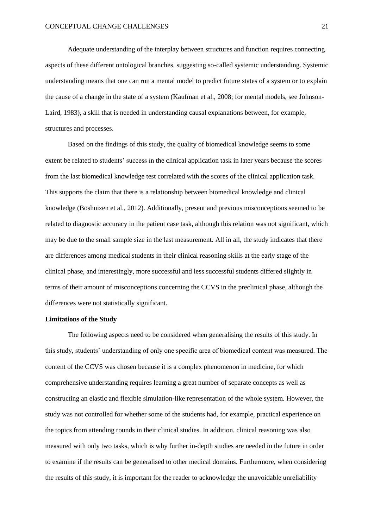Adequate understanding of the interplay between structures and function requires connecting aspects of these different ontological branches, suggesting so-called systemic understanding. Systemic understanding means that one can run a mental model to predict future states of a system or to explain the cause of a change in the state of a system (Kaufman et al., 2008; for mental models, see Johnson-Laird, 1983), a skill that is needed in understanding causal explanations between, for example, structures and processes.

Based on the findings of this study, the quality of biomedical knowledge seems to some extent be related to students' success in the clinical application task in later years because the scores from the last biomedical knowledge test correlated with the scores of the clinical application task. This supports the claim that there is a relationship between biomedical knowledge and clinical knowledge (Boshuizen et al., 2012). Additionally, present and previous misconceptions seemed to be related to diagnostic accuracy in the patient case task, although this relation was not significant, which may be due to the small sample size in the last measurement. All in all, the study indicates that there are differences among medical students in their clinical reasoning skills at the early stage of the clinical phase, and interestingly, more successful and less successful students differed slightly in terms of their amount of misconceptions concerning the CCVS in the preclinical phase, although the differences were not statistically significant.

## **Limitations of the Study**

The following aspects need to be considered when generalising the results of this study. In this study, students' understanding of only one specific area of biomedical content was measured. The content of the CCVS was chosen because it is a complex phenomenon in medicine, for which comprehensive understanding requires learning a great number of separate concepts as well as constructing an elastic and flexible simulation-like representation of the whole system. However, the study was not controlled for whether some of the students had, for example, practical experience on the topics from attending rounds in their clinical studies. In addition, clinical reasoning was also measured with only two tasks, which is why further in-depth studies are needed in the future in order to examine if the results can be generalised to other medical domains. Furthermore, when considering the results of this study, it is important for the reader to acknowledge the unavoidable unreliability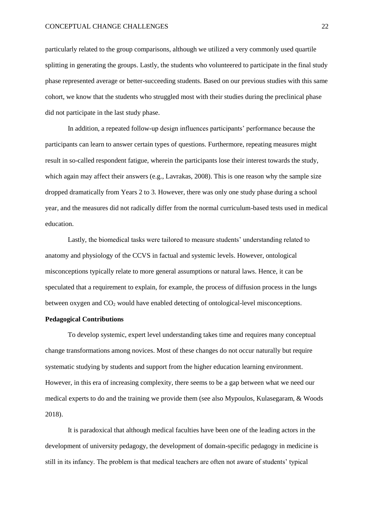## CONCEPTUAL CHANGE CHALLENGES 22

particularly related to the group comparisons, although we utilized a very commonly used quartile splitting in generating the groups. Lastly, the students who volunteered to participate in the final study phase represented average or better-succeeding students. Based on our previous studies with this same cohort, we know that the students who struggled most with their studies during the preclinical phase did not participate in the last study phase.

In addition, a repeated follow-up design influences participants' performance because the participants can learn to answer certain types of questions. Furthermore, repeating measures might result in so-called respondent fatigue, wherein the participants lose their interest towards the study, which again may affect their answers (e.g., Lavrakas, 2008). This is one reason why the sample size dropped dramatically from Years 2 to 3. However, there was only one study phase during a school year, and the measures did not radically differ from the normal curriculum-based tests used in medical education.

Lastly, the biomedical tasks were tailored to measure students' understanding related to anatomy and physiology of the CCVS in factual and systemic levels. However, ontological misconceptions typically relate to more general assumptions or natural laws. Hence, it can be speculated that a requirement to explain, for example, the process of diffusion process in the lungs between oxygen and CO<sup>2</sup> would have enabled detecting of ontological-level misconceptions.

## **Pedagogical Contributions**

To develop systemic, expert level understanding takes time and requires many conceptual change transformations among novices. Most of these changes do not occur naturally but require systematic studying by students and support from the higher education learning environment. However, in this era of increasing complexity, there seems to be a gap between what we need our medical experts to do and the training we provide them (see also Mypoulos, Kulasegaram, & Woods 2018).

It is paradoxical that although medical faculties have been one of the leading actors in the development of university pedagogy, the development of domain-specific pedagogy in medicine is still in its infancy. The problem is that medical teachers are often not aware of students' typical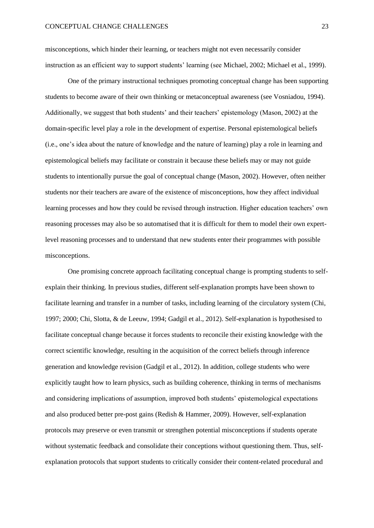misconceptions, which hinder their learning, or teachers might not even necessarily consider instruction as an efficient way to support students' learning (see Michael, 2002; Michael et al., 1999).

One of the primary instructional techniques promoting conceptual change has been supporting students to become aware of their own thinking or metaconceptual awareness (see Vosniadou, 1994). Additionally, we suggest that both students' and their teachers' epistemology (Mason, 2002) at the domain-specific level play a role in the development of expertise. Personal epistemological beliefs (i.e., one's idea about the nature of knowledge and the nature of learning) play a role in learning and epistemological beliefs may facilitate or constrain it because these beliefs may or may not guide students to intentionally pursue the goal of conceptual change (Mason, 2002). However, often neither students nor their teachers are aware of the existence of misconceptions, how they affect individual learning processes and how they could be revised through instruction. Higher education teachers' own reasoning processes may also be so automatised that it is difficult for them to model their own expertlevel reasoning processes and to understand that new students enter their programmes with possible misconceptions.

One promising concrete approach facilitating conceptual change is prompting students to selfexplain their thinking. In previous studies, different self-explanation prompts have been shown to facilitate learning and transfer in a number of tasks, including learning of the circulatory system (Chi, 1997; 2000; Chi, Slotta, & de Leeuw, 1994; Gadgil et al., 2012). Self-explanation is hypothesised to facilitate conceptual change because it forces students to reconcile their existing knowledge with the correct scientific knowledge, resulting in the acquisition of the correct beliefs through inference generation and knowledge revision (Gadgil et al., 2012). In addition, college students who were explicitly taught how to learn physics, such as building coherence, thinking in terms of mechanisms and considering implications of assumption, improved both students' epistemological expectations and also produced better pre-post gains (Redish & Hammer, 2009). However, self-explanation protocols may preserve or even transmit or strengthen potential misconceptions if students operate without systematic feedback and consolidate their conceptions without questioning them. Thus, selfexplanation protocols that support students to critically consider their content-related procedural and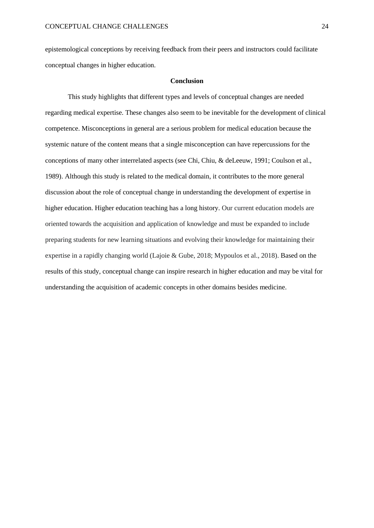epistemological conceptions by receiving feedback from their peers and instructors could facilitate conceptual changes in higher education.

## **Conclusion**

This study highlights that different types and levels of conceptual changes are needed regarding medical expertise. These changes also seem to be inevitable for the development of clinical competence. Misconceptions in general are a serious problem for medical education because the systemic nature of the content means that a single misconception can have repercussions for the conceptions of many other interrelated aspects (see Chi, Chiu, & deLeeuw, 1991; Coulson et al., 1989). Although this study is related to the medical domain, it contributes to the more general discussion about the role of conceptual change in understanding the development of expertise in higher education. Higher education teaching has a long history. Our current education models are oriented towards the acquisition and application of knowledge and must be expanded to include preparing students for new learning situations and evolving their knowledge for maintaining their expertise in a rapidly changing world (Lajoie & Gube, 2018; Mypoulos et al., 2018). Based on the results of this study, conceptual change can inspire research in higher education and may be vital for understanding the acquisition of academic concepts in other domains besides medicine.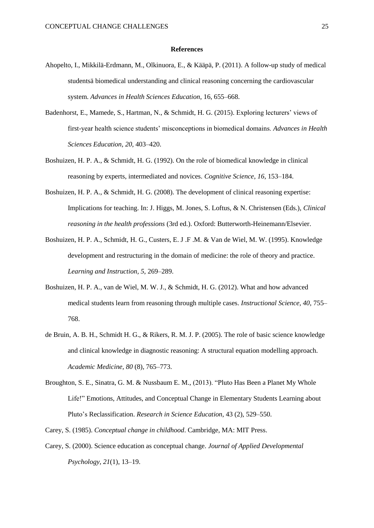#### **References**

- Ahopelto, I., Mikkilä-Erdmann, M., Olkinuora, E., & Kääpä, P. (2011). A follow-up study of medical studentsä biomedical understanding and clinical reasoning concerning the cardiovascular system. *Advances in Health Sciences Education*, 16, 655–668.
- Badenhorst, E., Mamede, S., Hartman, N., & Schmidt, H. G. (2015). Exploring lecturers' views of first-year health science students' misconceptions in biomedical domains. *Advances in Health Sciences Education, 20*, 403–420.
- Boshuizen, H. P. A., & Schmidt, H. G. (1992). On the role of biomedical knowledge in clinical reasoning by experts, intermediated and novices. *Cognitive Science*, *16*, 153–184.
- Boshuizen, H. P. A., & Schmidt, H. G. (2008). The development of clinical reasoning expertise: Implications for teaching. In: J. Higgs, M. Jones, S. Loftus, & N. Christensen (Eds.), *Clinical reasoning in the health professions* (3rd ed.). Oxford: Butterworth-Heinemann/Elsevier.
- Boshuizen, H. P. A., Schmidt, H. G., Custers, E. J .F .M. & Van de Wiel, M. W. (1995). Knowledge development and restructuring in the domain of medicine: the role of theory and practice. *Learning and Instruction, 5*, 269–289.
- Boshuizen, H. P. A., van de Wiel, M. W. J., & Schmidt, H. G. (2012). What and how advanced medical students learn from reasoning through multiple cases. *Instructional Science, 40*, 755– 768.
- de Bruin, A. B. H., Schmidt H. G., & Rikers, R. M. J. P. (2005). The role of basic science knowledge and clinical knowledge in diagnostic reasoning: A structural equation modelling approach. *Academic Medicine, 80* (8), 765–773.
- Broughton, S. E., Sinatra, G. M. & Nussbaum E. M., (2013). "Pluto Has Been a Planet My Whole Life!" Emotions, Attitudes, and Conceptual Change in Elementary Students Learning about Pluto's Reclassification. *Research in Science Education*, 43 (2), 529–550.
- Carey, S. (1985). *Conceptual change in childhood*. Cambridge, MA: MIT Press.
- Carey, S. (2000). Science education as conceptual change. *Journal of Applied Developmental Psychology, 21*(1), 13–19.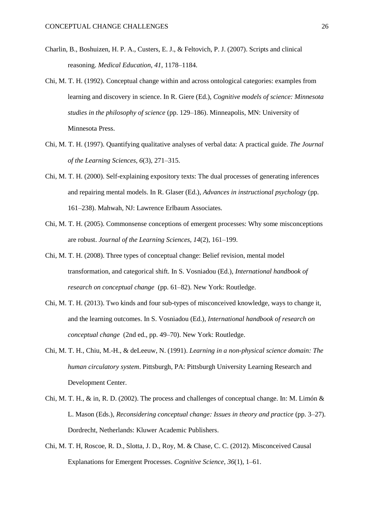- Charlin, B., Boshuizen, H. P. A., Custers, E. J., & Feltovich, P. J. (2007). Scripts and clinical reasoning. *Medical Education*, *41*, 1178–1184.
- Chi, M. T. H. (1992). Conceptual change within and across ontological categories: examples from learning and discovery in science. In R. Giere (Ed.), *Cognitive models of science: Minnesota studies in the philosophy of science* (pp. 129–186). Minneapolis, MN: University of Minnesota Press.
- Chi, M. T. H. (1997). Quantifying qualitative analyses of verbal data: A practical guide. *The Journal of the Learning Sciences, 6*(3), 271–315.
- Chi, M. T. H. (2000). Self-explaining expository texts: The dual processes of generating inferences and repairing mental models. In R. Glaser (Ed.), *Advances in instructional psychology* (pp. 161–238). Mahwah, NJ: Lawrence Erlbaum Associates.
- Chi, M. T. H. (2005). Commonsense conceptions of emergent processes: Why some misconceptions are robust. *Journal of the Learning Sciences, 14*(2), 161–199.
- Chi, M. T. H. (2008). Three types of conceptual change: Belief revision, mental model transformation, and categorical shift. In S. Vosniadou (Ed.), *International handbook of research on conceptual change* (pp. 61–82). New York: Routledge.
- Chi, M. T. H. (2013). Two kinds and four sub-types of misconceived knowledge, ways to change it, and the learning outcomes. In S. Vosniadou (Ed.), *International handbook of research on conceptual change* (2nd ed., pp. 49–70). New York: Routledge.
- Chi, M. T. H., Chiu, M.-H., & deLeeuw, N. (1991). *Learning in a non-physical science domain: The human circulatory system*. Pittsburgh, PA: Pittsburgh University Learning Research and Development Center.
- Chi, M. T. H., & in, R. D. (2002). The process and challenges of conceptual change. In: M. Limón & L. Mason (Eds.), *Reconsidering conceptual change: Issues in theory and practice* (pp. 3–27). Dordrecht, Netherlands: Kluwer Academic Publishers.
- Chi, M. T. H, Roscoe, R. D., Slotta, J. D., Roy, M. & Chase, C. C. (2012). Misconceived Causal Explanations for Emergent Processes. *Cognitive Science, 36*(1), 1–61.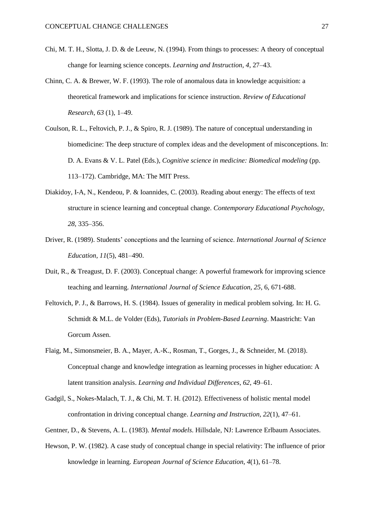- Chi, M. T. H., Slotta, J. D. & de Leeuw, N. (1994). From things to processes: A theory of conceptual change for learning science concepts. *Learning and Instruction, 4*, 27–43.
- Chinn, C. A. & Brewer, W. F. (1993). The role of anomalous data in knowledge acquisition: a theoretical framework and implications for science instruction. *Review of Educational Research, 63* (1), 1–49.
- Coulson, R. L., Feltovich, P. J., & Spiro, R. J. (1989). The nature of conceptual understanding in biomedicine: The deep structure of complex ideas and the development of misconceptions. In: D. A. Evans & V. L. Patel (Eds.), *Cognitive science in medicine: Biomedical modeling* (pp. 113–172). Cambridge, MA: The MIT Press.
- Diakidoy, I-A, N., Kendeou, P. & Ioannides, C. (2003). Reading about energy: The effects of text structure in science learning and conceptual change. *Contemporary Educational Psychology, 28*, 335–356.
- Driver, R. (1989). Students' conceptions and the learning of science. *International Journal of Science Education, 11*(5), 481–490.
- Duit, R., & Treagust, D. F. (2003). Conceptual change: A powerful framework for improving science teaching and learning. *International Journal of Science Education, 25*, 6, 671-688.
- Feltovich, P. J., & Barrows, H. S. (1984). Issues of generality in medical problem solving. In: H. G. Schmidt & M.L. de Volder (Eds), *Tutorials in Problem-Based Learning*. Maastricht: Van Gorcum Assen.
- Flaig, M., Simonsmeier, B. A., Mayer, A.-K., Rosman, T., Gorges, J., & Schneider, M. (2018). Conceptual change and knowledge integration as learning processes in higher education: A latent transition analysis. *Learning and Individual Differences, 62*, 49–61.
- Gadgil, S., Nokes-Malach, T. J., & Chi, M. T. H. (2012). Effectiveness of holistic mental model confrontation in driving conceptual change. *Learning and Instruction, 22*(1), 47–61.
- Gentner, D., & Stevens, A. L. (1983). *Mental models*. Hillsdale, NJ: Lawrence Erlbaum Associates.
- Hewson, P. W. (1982). A case study of conceptual change in special relativity: The influence of prior knowledge in learning. *European Journal of Science Education, 4*(1), 61–78.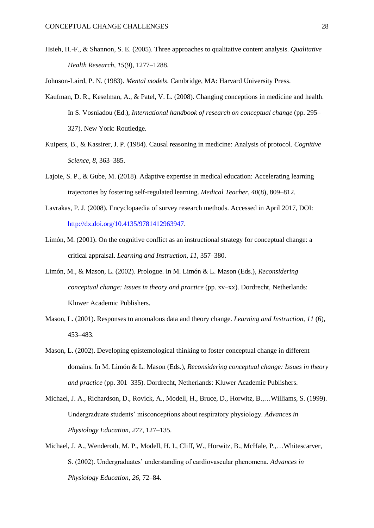Hsieh, H.-F., & Shannon, S. E. (2005). Three approaches to qualitative content analysis. *Qualitative Health Research, 15*(9), 1277–1288.

Johnson-Laird, P. N. (1983). *Mental models*. Cambridge, MA: Harvard University Press.

- Kaufman, D. R., Keselman, A., & Patel, V. L. (2008). Changing conceptions in medicine and health. In S. Vosniadou (Ed.), *International handbook of research on conceptual change* (pp. 295– 327). New York: Routledge.
- Kuipers, B., & Kassirer, J. P. (1984). Causal reasoning in medicine: Analysis of protocol. *Cognitive Science, 8*, 363–385.
- Lajoie, S. P., & Gube, M. (2018). Adaptive expertise in medical education: Accelerating learning trajectories by fostering self-regulated learning. *Medical Teacher, 40*(8), 809–812.
- Lavrakas, P. J. (2008). Encyclopaedia of survey research methods. Accessed in April 2017, DOI: [http://dx.doi.org/10.4135/9781412963947.](http://dx.doi.org/10.4135/9781412963947)
- Limón, M. (2001). On the cognitive conflict as an instructional strategy for conceptual change: a critical appraisal. *Learning and Instruction, 11*, 357–380.
- Limón, M., & Mason, L. (2002). Prologue. In M. Limón & L. Mason (Eds.), *Reconsidering conceptual change: Issues in theory and practice* (pp. xv–xx). Dordrecht, Netherlands: Kluwer Academic Publishers.
- Mason, L. (2001). Responses to anomalous data and theory change. *Learning and Instruction, 11* (6), 453–483.
- Mason, L. (2002). Developing epistemological thinking to foster conceptual change in different domains. In M. Limón & L. Mason (Eds.), *Reconsidering conceptual change: Issues in theory and practice* (pp. 301–335). Dordrecht, Netherlands: Kluwer Academic Publishers.
- Michael, J. A., Richardson, D., Rovick, A., Modell, H., Bruce, D., Horwitz, B.,…Williams, S. (1999). Undergraduate students' misconceptions about respiratory physiology. *Advances in Physiology Education, 277*, 127–135.
- Michael, J. A., Wenderoth, M. P., Modell, H. I., Cliff, W., Horwitz, B., McHale, P.,…Whitescarver, S. (2002). Undergraduates' understanding of cardiovascular phenomena. *Advances in Physiology Education, 26*, 72–84.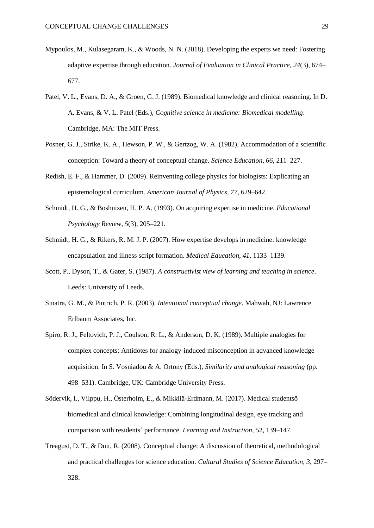- Mypoulos, M., Kulasegaram, K., & Woods, N. N. (2018). Developing the experts we need: Fostering adaptive expertise through education. *Journal of Evaluation in Clinical Practice, 24*(3), 674– 677.
- Patel, V. L., Evans, D. A., & Groen, G. J. (1989). Biomedical knowledge and clinical reasoning. In D. A. Evans, & V. L. Patel (Eds.), *Cognitive science in medicine: Biomedical modelling*. Cambridge, MA: The MIT Press.
- Posner, G. J., Strike, K. A., Hewson, P. W., & Gertzog, W. A. (1982). Accommodation of a scientific conception: Toward a theory of conceptual change. *Science Education, 66*, 211–227.
- Redish, E. F., & Hammer, D. (2009). Reinventing college physics for biologists: Explicating an epistemological curriculum. *American Journal of Physics, 77*, 629–642.
- Schmidt, H. G., & Boshuizen, H. P. A. (1993). On acquiring expertise in medicine. *Educational Psychology Review, 5*(3), 205–221.
- Schmidt, H. G., & Rikers, R. M. J. P. (2007). How expertise develops in medicine: knowledge encapsulation and illness script formation. *Medical Education, 41*, 1133–1139.
- Scott, P., Dyson, T., & Gater, S. (1987). *A constructivist view of learning and teaching in science*. Leeds: University of Leeds.
- Sinatra, G. M., & Pintrich, P. R. (2003). *Intentional conceptual change*. Mahwah, NJ: Lawrence Erlbaum Associates, Inc.
- Spiro, R. J., Feltovich, P. J., Coulson, R. L., & Anderson, D. K. (1989). Multiple analogies for complex concepts: Antidotes for analogy-induced misconception in advanced knowledge acquisition. In S. Vosniadou & A. Ortony (Eds.), *Similarity and analogical reasoning* (pp. 498–531). Cambridge, UK: Cambridge University Press.
- Södervik, I., Vilppu, H., Österholm, E., & Mikkilä-Erdmann, M. (2017). Medical studentsö biomedical and clinical knowledge: Combining longitudinal design, eye tracking and comparison with residents' performance. *Learning and Instruction*, 52, 139–147.
- Treagust, D. T., & Duit, R. (2008). Conceptual change: A discussion of theoretical, methodological and practical challenges for science education. *Cultural Studies of Science Education, 3*, 297– 328.